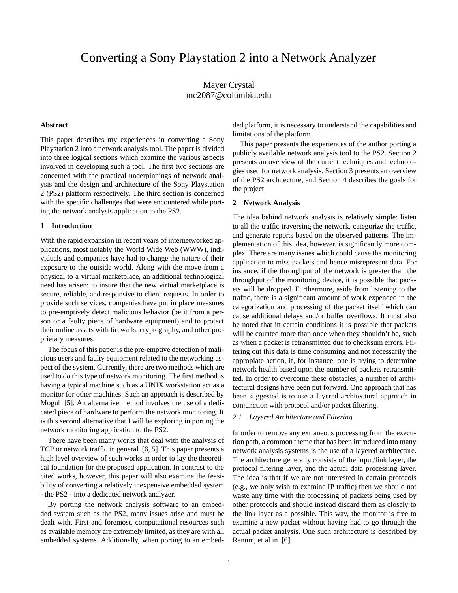# Converting a Sony Playstation 2 into a Network Analyzer

Mayer Crystal mc2087@columbia.edu

# **Abstract**

This paper describes my experiences in converting a Sony Playstation 2 into a network analysis tool. The paper is divided into three logical sections which examine the various aspects involved in developing such a tool. The first two sections are concerned with the practical underpinnings of network analysis and the design and architecture of the Sony Playstation 2 (PS2) platform respectively. The third section is concerned with the specific challenges that were encountered while porting the network analysis application to the PS2.

## **1 Introduction**

With the rapid expansion in recent years of internetworked applications, most notably the World Wide Web (WWW), individuals and companies have had to change the nature of their exposure to the outside world. Along with the move from a physical to a virtual marketplace, an additional technological need has arisen: to insure that the new virtual marketplace is secure, reliable, and responsive to client requests. In order to provide such services, companies have put in place measures to pre-emptively detect malicious behavior (be it from a person or a faulty piece of hardware equipment) and to protect their online assets with firewalls, cryptography, and other proprietary measures.

The focus of this paper is the pre-emptive detection of malicious users and faulty equipment related to the networking aspect of the system. Currently, there are two methods which are used to do this type of network monitoring. The first method is having a typical machine such as a UNIX workstation act as a monitor for other machines. Such an approach is described by Mogul [5]. An alternative method involves the use of a dedicated piece of hardware to perform the network monitoring. It is this second alternative that I will be exploring in porting the network monitoring application to the PS2.

There have been many works that deal with the analysis of TCP or network traffic in general [6, 5]. This paper presents a high level overview of such works in order to lay the theoretical foundation for the proposed application. In contrast to the cited works, however, this paper will also examine the feasibility of converting a relatively inexpensive embedded system - the PS2 - into a dedicated network analyzer.

By porting the network analysis software to an embedded system such as the PS2, many issues arise and must be dealt with. First and foremost, computational resources such as available memory are extremely limited, as they are with all embedded systems. Additionally, when porting to an embedded platform, it is necessary to understand the capabilities and limitations of the platform.

This paper presents the experiences of the author porting a publicly available network analysis tool to the PS2. Section 2 presents an overview of the current techniques and technologies used for network analysis. Section 3 presents an overview of the PS2 architecture, and Section 4 describes the goals for the project.

#### **2 Network Analysis**

The idea behind network analysis is relatively simple: listen to all the traffic traversing the network, categorize the traffic, and generate reports based on the observed patterns. The implementation of this idea, however, is significantly more complex. There are many issues which could cause the monitoring application to miss packets and hence misrepresent data. For instance, if the throughput of the network is greater than the throughput of the monitoring device, it is possible that packets will be dropped. Furthermore, aside from listening to the traffic, there is a significant amount of work expended in the categorization and processing of the packet itself which can cause additional delays and/or buffer overflows. It must also be noted that in certain conditions it is possible that packets will be counted more than once when they shouldn't be, such as when a packet is retransmitted due to checksum errors. Filtering out this data is time consuming and not necessarily the appropiate action, if, for instance, one is trying to determine network health based upon the number of packets retransmitted. In order to overcome these obstacles, a number of architectural designs have been put forward. One approach that has been suggested is to use a layered architectural approach in conjunction with protocol and/or packet filtering.

# *2.1 Layered Architecture and Filtering*

In order to remove any extraneous processing from the execution path, a common theme that has been introduced into many network analysis systems is the use of a layered architecture. The architecture generally consists of the input/link layer, the protocol filtering layer, and the actual data processing layer. The idea is that if we are not interested in certain protocols (e.g., we only wish to examine IP traffic) then we should not waste any time with the processing of packets being used by other protocols and should instead discard them as closely to the link layer as a possible. This way, the monitor is free to examine a new packet without having had to go through the actual packet analysis. One such architecture is described by Ranum, et al in [6].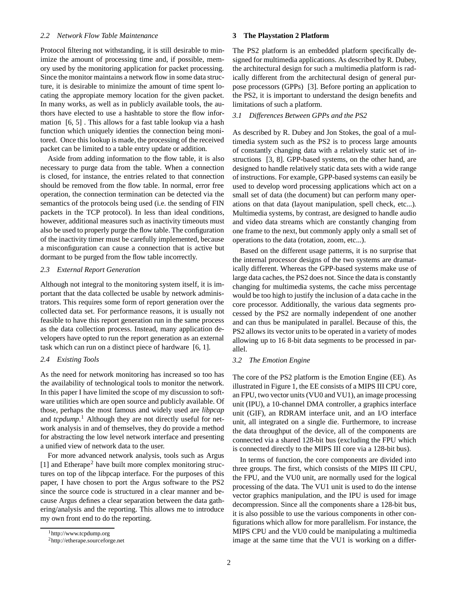## *2.2 Network Flow Table Maintenance*

Protocol filtering not withstanding, it is still desirable to minimize the amount of processing time and, if possible, memory used by the monitoring application for packet processing. Since the monitor maintains a network flow in some data structure, it is desirable to minimize the amount of time spent locating the appropiate memory location for the given packet. In many works, as well as in publicly available tools, the authors have elected to use a hashtable to store the flow information [6, 5] . This allows for a fast table lookup via a hash function which uniquely identies the connection being monitored. Once thislookup is made, the processing of the received packet can be limited to a table entry update or addition.

Aside from adding information to the flow table, it is also necessary to purge data from the table. When a connection is closed, for instance, the entries related to that connection should be removed from the flow table. In normal, error free operation, the connection termination can be detected via the semantics of the protocols being used (i.e. the sending of FIN packets in the TCP protocol). In less than ideal conditions, however, additional measures such as inactivity timeouts must also be used to properly purge the flow table. The configuration of the inactivity timer must be carefully implemented, because a misconfiguration can cause a connection that is active but dormant to be purged from the flow table incorrectly.

#### *2.3 External Report Generation*

Although not integral to the monitoring system itself, it is important that the data collected be usable by network administrators. This requires some form of report generation over the collected data set. For performance reasons, it is usually not feasible to have this report generation run in the same process as the data collection process. Instead, many application developers have opted to run the report generation as an external task which can run on a distinct piece of hardware [6, 1].

## *2.4 Existing Tools*

As the need for network monitoring has increased so too has the availability of technological tools to monitor the network. In this paper I have limited the scope of my discussion to software utilities which are open source and publicly available. Of those, perhaps the most famous and widely used are *libpcap* and *tcpdump*. <sup>1</sup> Although they are not directly useful for network analysis in and of themselves, they do provide a method for abstracting the low level network interface and presenting a unified view of network data to the user.

For more advanced network analysis, tools such as Argus [1] and Etherape<sup>2</sup> have built more complex monitoring structures on top of the libpcap interface. For the purposes of this paper, I have chosen to port the Argus software to the PS2 since the source code is structured in a clear manner and because Argus defines a clear separation between the data gathering/analysis and the reporting. This allows me to introduce my own front end to do the reporting.

#### **3 The Playstation 2 Platform**

The PS2 platform is an embedded platform specifically designed for multimedia applications. As described by R. Dubey, the architectural design for such a multimedia platform is radically different from the architectural design of general purpose processors (GPPs) [3]. Before porting an application to the PS2, it is important to understand the design benefits and limitations of such a platform.

#### *3.1 Differences Between GPPs and the PS2*

As described by R. Dubey and Jon Stokes, the goal of a multimedia system such as the PS2 is to process large amounts of constantly changing data with a relatively static set of instructions [3, 8]. GPP-based systems, on the other hand, are designed to handle relatively static data sets with a wide range of instructions. For example, GPP-based systems can easily be used to develop word processing applications which act on a small set of data (the document) but can perform many operations on that data (layout manipulation, spell check, etc...). Multimedia systems, by contrast, are designed to handle audio and video data streams which are constantly changing from one frame to the next, but commonly apply only a small set of operations to the data (rotation, zoom, etc...).

Based on the different usage patterns, it is no surprise that the internal processor designs of the two systems are dramatically different. Whereas the GPP-based systems make use of large data caches, the PS2 does not. Since the data is constantly changing for multimedia systems, the cache miss percentage would be too high to justify the inclusion of a data cache in the core processor. Additionally, the various data segments processed by the PS2 are normally independent of one another and can thus be manipulated in parallel. Because of this, the PS2 allows its vector units to be operated in a variety of modes allowing up to 16 8-bit data segments to be processed in parallel.

#### *3.2 The Emotion Engine*

The core of the PS2 platform is the Emotion Engine (EE). As illustrated in Figure 1, the EE consists of a MIPS III CPU core, an FPU, two vector units(VU0 and VU1), an image processing unit (IPU), a 10-channel DMA controller, a graphics interface unit (GIF), an RDRAM interface unit, and an I/O interface unit, all integrated on a single die. Furthermore, to increase the data throughput of the device, all of the components are connected via a shared 128-bit bus (excluding the FPU which is connected directly to the MIPS III core via a 128-bit bus).

In terms of function, the core components are divided into three groups. The first, which consists of the MIPS III CPU, the FPU, and the VU0 unit, are normally used for the logical processing of the data. The VU1 unit is used to do the intense vector graphics manipulation, and the IPU is used for image decompression. Since all the components share a 128-bit bus, it is also possible to use the various components in other configurations which allow for more parallelism. For instance, the MIPS CPU and the VU0 could be manipulating a multimedia image at the same time that the VU1 is working on a differ-

<sup>1</sup>http://www.tcpdump.org

<sup>2</sup>http://etherape.sourceforge.net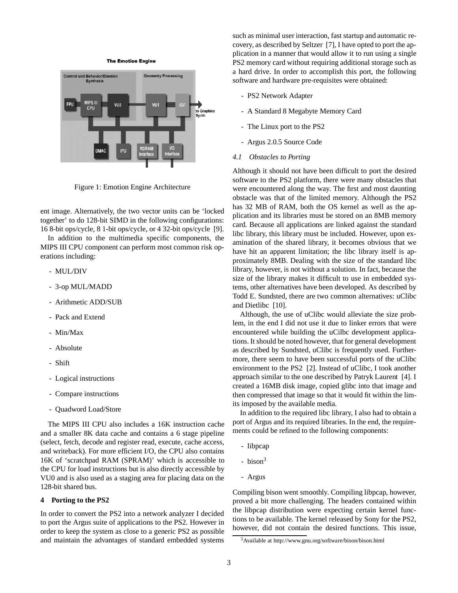**The Emotion Engine** 



Figure 1: Emotion Engine Architecture

ent image. Alternatively, the two vector units can be 'locked together' to do 128-bit SIMD in the following configurations: 16 8-bit ops/cycle, 8 1-bit ops/cycle, or 4 32-bit ops/cycle [9].

In addition to the multimedia specific components, the MIPS III CPU component can perform most common risk operations including:

- MUL/DIV
- 3-op MUL/MADD
- Arithmetic ADD/SUB
- Pack and Extend
- Min/Max
- Absolute
- Shift
- Logical instructions
- Compare instructions
- Quadword Load/Store

The MIPS III CPU also includes a 16K instruction cache and a smaller 8K data cache and contains a 6 stage pipeline (select, fetch, decode and register read, execute, cache access, and writeback). For more efficient I/O, the CPU also contains 16K of 'scratchpad RAM (SPRAM)' which is accessible to the CPU for load instructions but is also directly accessible by VU0 and is also used as a staging area for placing data on the 128-bit shared bus.

# **4 Porting to the PS2**

In order to convert the PS2 into a network analyzer I decided to port the Argus suite of applications to the PS2. However in order to keep the system as close to a generic PS2 as possible and maintain the advantages of standard embedded systems such as minimal user interaction, fast startup and automatic recovery, as described by Seltzer [7], I have opted to port the application in a manner that would allow it to run using a single PS2 memory card without requiring additional storage such as a hard drive. In order to accomplish this port, the following software and hardware pre-requisites were obtained:

- PS2 Network Adapter
- A Standard 8 Megabyte Memory Card
- The Linux port to the PS2
- Argus 2.0.5 Source Code
- *4.1 Obstacles to Porting*

Although it should not have been difficult to port the desired software to the PS2 platform, there were many obstacles that were encountered along the way. The first and most daunting obstacle was that of the limited memory. Although the PS2 has 32 MB of RAM, both the OS kernel as well as the application and its libraries must be stored on an 8MB memory card. Because all applications are linked against the standard libc library, this library must be included. However, upon examination of the shared library, it becomes obvious that we have hit an apparent limitation; the libc library itself is approximately 8MB. Dealing with the size of the standard libc library, however, is not without a solution. In fact, because the size of the library makes it difficult to use in embedded systems, other alternatives have been developed. As described by Todd E. Sundsted, there are two common alternatives: uClibc and Dietlibc [10].

Although, the use of uClibc would alleviate the size problem, in the end I did not use it due to linker errors that were encountered while building the uCilbc development applications. It should be noted however, that for general development as described by Sundsted, uClibc is frequently used. Furthermore, there seem to have been successful ports of the uClibc environment to the PS2 [2]. Instead of uClibc, I took another approach similar to the one described by Patryk Laurent [4]. I created a 16MB disk image, copied glibc into that image and then compressed that image so that it would fit within the limits imposed by the available media.

In addition to the required libc library, I also had to obtain a port of Argus and its required libraries. In the end, the requirements could be refined to the following components:

- libpcap
- $**bison**<sup>3</sup>$
- Argus

Compiling bison went smoothly. Compiling libpcap, however, proved a bit more challenging. The headers contained within the libpcap distribution were expecting certain kernel functions to be available. The kernel released by Sony for the PS2, however, did not contain the desired functions. This issue,

<sup>3</sup>Available at http://www.gnu.org/software/bison/bison.html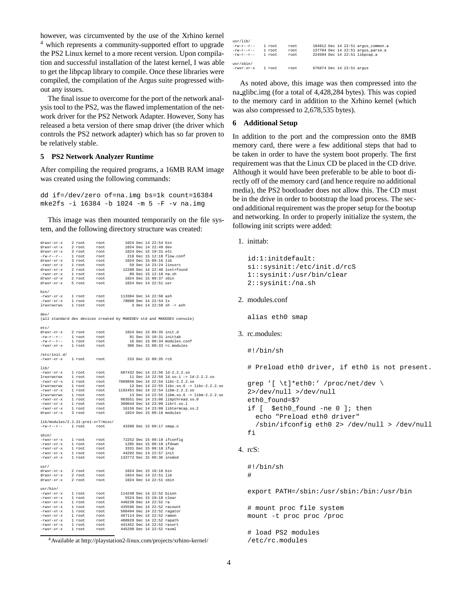however, was circumvented by the use of the Xrhino kernel <sup>4</sup> which represents a community-supported effort to upgrade the PS2 Linux kernel to a more recent version. Upon compilation and successful installation of the latest kernel, I was able to get the libpcap library to compile. Once these libraries were compiled, the compilation of the Argus suite progressed without any issues.

The final issue to overcome for the port of the network analysis tool to the PS2, was the flawed implementation of the network driver for the PS2 Network Adapter. However, Sony has released a beta version of there smap driver (the driver which controls the PS2 network adapter) which has so far proven to be relatively stable.

# **5 PS2 Network Analyzer Runtime**

drwxr-xr-x 2 root root 1024 Dec 14 22:54 bin

After compiling the required programs, a 16MB RAM image was created using the following commands:

dd if=/dev/zero of=na.img bs=1k count=16384 mke2fs -i 16384 -b 1024 -m 5 -F -v na.img

This image was then mounted temporarily on the file system, and the following directory structure was created:

| bin/                                                                                                                                                                                                                                                                                                                                                         |        |      |                             |  |                        |                                                                       |
|--------------------------------------------------------------------------------------------------------------------------------------------------------------------------------------------------------------------------------------------------------------------------------------------------------------------------------------------------------------|--------|------|-----------------------------|--|------------------------|-----------------------------------------------------------------------|
|                                                                                                                                                                                                                                                                                                                                                              |        |      |                             |  |                        |                                                                       |
|                                                                                                                                                                                                                                                                                                                                                              |        |      |                             |  |                        |                                                                       |
| -rwxr-xr-x lroot root 113304 Dec 14 22:50 ash<br>-rwxr-xr-x lroot root 78088 Dec 14 22:54 1s<br>lrwxrwxrwx lroot root 3 Dec 14 22:50 sh -> ash                                                                                                                                                                                                               |        |      |                             |  |                        |                                                                       |
|                                                                                                                                                                                                                                                                                                                                                              |        |      |                             |  |                        |                                                                       |
| dev/                                                                                                                                                                                                                                                                                                                                                         |        |      |                             |  |                        |                                                                       |
|                                                                                                                                                                                                                                                                                                                                                              |        |      |                             |  |                        |                                                                       |
|                                                                                                                                                                                                                                                                                                                                                              |        |      |                             |  |                        | (all standard dev devices created by MAKEDEV std and MAKEDEV console) |
|                                                                                                                                                                                                                                                                                                                                                              |        |      |                             |  |                        |                                                                       |
| etc/                                                                                                                                                                                                                                                                                                                                                         |        |      |                             |  |                        |                                                                       |
|                                                                                                                                                                                                                                                                                                                                                              |        |      |                             |  |                        |                                                                       |
|                                                                                                                                                                                                                                                                                                                                                              |        |      |                             |  |                        |                                                                       |
|                                                                                                                                                                                                                                                                                                                                                              |        |      |                             |  |                        |                                                                       |
| drwxr-xr-x 2 root root 1024 Dec 15 09:35 init.d<br>-rw-r--r-- 1 root root 91 Dec 15 09:34 modules.conf<br>-rw-r--r-- 1 root root 16 Dec 15 09:34 modules.conf<br>-rwxr-xr-x 1 root root 300 Dec 15 09:33 rc.modules                                                                                                                                          |        |      |                             |  |                        |                                                                       |
|                                                                                                                                                                                                                                                                                                                                                              |        |      |                             |  |                        |                                                                       |
| /etc/init.d/                                                                                                                                                                                                                                                                                                                                                 |        |      |                             |  |                        |                                                                       |
| -rwxr-xr-x 1 root root 233 Dec 15 09:35 rcS                                                                                                                                                                                                                                                                                                                  |        |      |                             |  |                        |                                                                       |
|                                                                                                                                                                                                                                                                                                                                                              |        |      |                             |  |                        |                                                                       |
| lib/                                                                                                                                                                                                                                                                                                                                                         |        |      |                             |  |                        |                                                                       |
| $-rwxx-xx-x$ 1 root root 607432 Dec 14 22:56 14-2.2.2.so                                                                                                                                                                                                                                                                                                     |        |      |                             |  |                        |                                                                       |
|                                                                                                                                                                                                                                                                                                                                                              |        |      |                             |  |                        |                                                                       |
|                                                                                                                                                                                                                                                                                                                                                              |        |      |                             |  |                        |                                                                       |
|                                                                                                                                                                                                                                                                                                                                                              |        |      |                             |  |                        |                                                                       |
|                                                                                                                                                                                                                                                                                                                                                              |        |      |                             |  |                        |                                                                       |
|                                                                                                                                                                                                                                                                                                                                                              |        |      |                             |  |                        |                                                                       |
|                                                                                                                                                                                                                                                                                                                                                              |        |      |                             |  |                        |                                                                       |
|                                                                                                                                                                                                                                                                                                                                                              |        |      |                             |  |                        |                                                                       |
|                                                                                                                                                                                                                                                                                                                                                              |        |      |                             |  |                        |                                                                       |
|                                                                                                                                                                                                                                                                                                                                                              |        |      |                             |  |                        |                                                                       |
|                                                                                                                                                                                                                                                                                                                                                              |        |      |                             |  |                        |                                                                       |
| lib/modules/2.2.21-prel-xr7/misc/                                                                                                                                                                                                                                                                                                                            |        |      |                             |  |                        |                                                                       |
| -rw-r--r-- 1 root root                                                                                                                                                                                                                                                                                                                                       |        |      | 43388 Dec 15 09:17 smap.o   |  |                        |                                                                       |
|                                                                                                                                                                                                                                                                                                                                                              |        |      |                             |  |                        |                                                                       |
| $\sin/$                                                                                                                                                                                                                                                                                                                                                      |        |      |                             |  |                        |                                                                       |
|                                                                                                                                                                                                                                                                                                                                                              |        |      |                             |  |                        |                                                                       |
|                                                                                                                                                                                                                                                                                                                                                              |        |      |                             |  |                        |                                                                       |
|                                                                                                                                                                                                                                                                                                                                                              |        |      |                             |  |                        |                                                                       |
| --------<br>--wxr--xr--x 1 root root 12252 Dec 15 09:18 ifconfig<br>---wxr--xr--x 1 root root 1285 Dec 15 09:18 ifdaw<br>---------------- 1 root root 44292 Dec 14 22:57 init                                                                                                                                                                                |        |      |                             |  |                        |                                                                       |
| $-rwxx-xx-x$                                                                                                                                                                                                                                                                                                                                                 | 1 root | root | 133772 Dec 15 09:36 insmod  |  |                        |                                                                       |
|                                                                                                                                                                                                                                                                                                                                                              |        |      |                             |  |                        |                                                                       |
| usr/                                                                                                                                                                                                                                                                                                                                                         |        |      |                             |  |                        |                                                                       |
|                                                                                                                                                                                                                                                                                                                                                              |        |      |                             |  |                        |                                                                       |
|                                                                                                                                                                                                                                                                                                                                                              |        |      |                             |  |                        |                                                                       |
| drwxr-xr-x 2 root root 1024 Dec 15 10:18 bin<br>$x = 2$ root 1024 Dec 14 22:51 11b<br>$x = 1024$ Dec 14 22:51 11b                                                                                                                                                                                                                                            |        |      |                             |  |                        |                                                                       |
| drwxr-xr-x                                                                                                                                                                                                                                                                                                                                                   | 2 root | root |                             |  | 1024 Dec 14 22:51 sbin |                                                                       |
|                                                                                                                                                                                                                                                                                                                                                              |        |      |                             |  |                        |                                                                       |
| usr/bin/                                                                                                                                                                                                                                                                                                                                                     |        |      |                             |  |                        |                                                                       |
|                                                                                                                                                                                                                                                                                                                                                              |        |      |                             |  |                        |                                                                       |
|                                                                                                                                                                                                                                                                                                                                                              |        |      |                             |  |                        |                                                                       |
|                                                                                                                                                                                                                                                                                                                                                              |        |      |                             |  |                        |                                                                       |
|                                                                                                                                                                                                                                                                                                                                                              |        |      |                             |  |                        |                                                                       |
|                                                                                                                                                                                                                                                                                                                                                              |        |      | 508494 Dec 14 22:52 ragator |  |                        |                                                                       |
| $\begin{tabular}{lllllllllll} $ -$rwar-xr-x$ & $1$ rowt & $-100$ & $1000$ & $1000$ & $14$ & $22:52$~ragaton\\ $ -$rwar-xr-x$ & $1$ root & $1000$ & $1000$ & $497114$ & Dec 14$ & $22:52$~ramon\\ $ -$rwar-xr-x$ & $1$ root & $1000$ & $480928$ & Dec 14$ & $22:52$~rapath\\ $ -$rwar-xr-x$ & $1$ root & $401432$ & Dec 14$ & $22:52$~rasor1\\ $ -$rwar-xr-x$ |        |      |                             |  |                        |                                                                       |
|                                                                                                                                                                                                                                                                                                                                                              |        |      |                             |  |                        |                                                                       |
|                                                                                                                                                                                                                                                                                                                                                              |        |      |                             |  |                        |                                                                       |
|                                                                                                                                                                                                                                                                                                                                                              |        |      |                             |  |                        |                                                                       |

<sup>4</sup>Available at http://playstation2-linux.com/projects/xrhino-kernel/

| usr/lib/     |        |       |                           |  |                                    |
|--------------|--------|-------|---------------------------|--|------------------------------------|
| $-rw-r--r--$ | 1 root | root  |                           |  | 184912 Dec 14 22:51 argus common.a |
| $-rw-r-r-r-$ | 1 root | root  |                           |  | 137704 Dec 14 22:51 argus parse.a  |
| $-rw-r--r--$ | 1 root | root  |                           |  | 224594 Dec 14 22:51 libpcap.a      |
| usr/sbin/    |        |       |                           |  |                                    |
| -rwxr-xr-x   | 1 root | root. | 676874 Dec 14 22:51 argus |  |                                    |

As noted above, this image was then compressed into the na glibc.img (for a total of 4,428,284 bytes). This was copied to the memory card in addition to the Xrhino kernel (which was also compressed to 2,678,535 bytes).

# **6 Additional Setup**

In addition to the port and the compression onto the 8MB memory card, there were a few additional steps that had to be taken in order to have the system boot properly. The first requirement was that the Linux CD be placed in the CD drive. Although it would have been preferable to be able to boot directly off of the memory card (and hence require no additional media), the PS2 bootloader does not allow this. The CD must be in the drive in order to bootstrap the load process. The second additional requirement was the proper setup for the bootup and networking. In order to properly initialize the system, the following init scripts were added:

1. inittab:

```
id:1:initdefault:
si::sysinit:/etc/init.d/rcS
1::sysinit:/usr/bin/clear
2::sysinit:/na.sh
```
#### 2. modules.conf

alias eth0 smap

/etc/rc.modules

# 3. rc.modules:

#!/bin/sh

# Preload eth0 driver, if eth0 is not present.

```
grep '[ \t]*eth0:' /proc/net/dev \
2>/dev/null >/dev/null
eth0_found=$?
if [ $eth0_found -ne 0 ]; then
  echo "Preload eth0 driver"
  /sbin/ifconfig eth0 2> /dev/null > /dev/null
fi
```
# 4. rcS:

```
#!/bin/sh
#
export PATH=/sbin:/usr/sbin:/bin:/usr/bin
# mount proc file system
mount -t proc proc /proc
# load PS2 modules
```